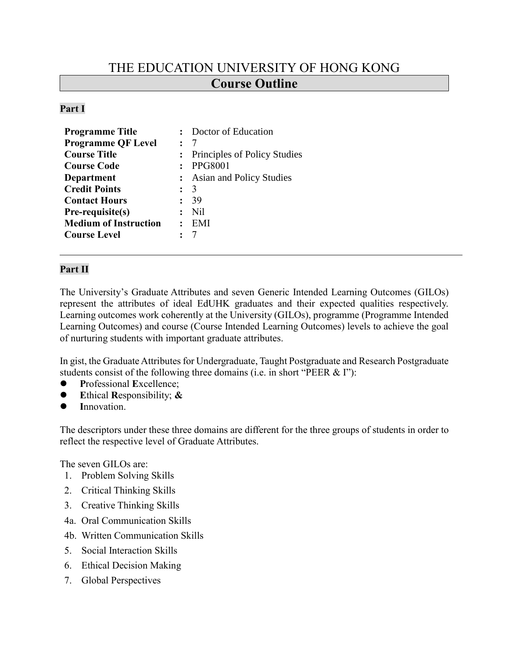# THE EDUCATION UNIVERSITY OF HONG KONG **Course Outline**

#### **Part I**

| <b>Programme Title</b>       | Doctor of Education            |
|------------------------------|--------------------------------|
| <b>Programme QF Level</b>    |                                |
| <b>Course Title</b>          | : Principles of Policy Studies |
| <b>Course Code</b>           | <b>PPG8001</b>                 |
| <b>Department</b>            | : Asian and Policy Studies     |
| <b>Credit Points</b>         | $\therefore$ 3                 |
| <b>Contact Hours</b>         | -39                            |
| Pre-requisite(s)             | N <sub>il</sub>                |
| <b>Medium of Instruction</b> | EMI                            |
| <b>Course Level</b>          |                                |
|                              |                                |

#### **Part II**

The University's Graduate Attributes and seven Generic Intended Learning Outcomes (GILOs) represent the attributes of ideal EdUHK graduates and their expected qualities respectively. Learning outcomes work coherently at the University (GILOs), programme (Programme Intended Learning Outcomes) and course (Course Intended Learning Outcomes) levels to achieve the goal of nurturing students with important graduate attributes.

In gist, the Graduate Attributes for Undergraduate, Taught Postgraduate and Research Postgraduate students consist of the following three domains (i.e. in short "PEER & I"):

- ⚫ **P**rofessional **E**xcellence;
- ⚫ **E**thical **R**esponsibility; **&**
- Innovation.

The descriptors under these three domains are different for the three groups of students in order to reflect the respective level of Graduate Attributes.

The seven GILOs are:

- 1. Problem Solving Skills
- 2. Critical Thinking Skills
- 3. Creative Thinking Skills
- 4a. Oral Communication Skills
- 4b. Written Communication Skills
- 5. Social Interaction Skills
- 6. Ethical Decision Making
- 7. Global Perspectives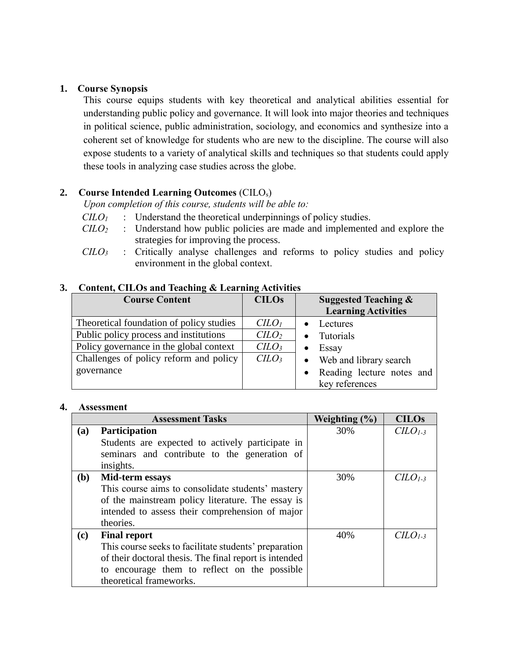#### **1. Course Synopsis**

This course equips students with key theoretical and analytical abilities essential for understanding public policy and governance. It will look into major theories and techniques in political science, public administration, sociology, and economics and synthesize into a coherent set of knowledge for students who are new to the discipline. The course will also expose students to a variety of analytical skills and techniques so that students could apply these tools in analyzing case studies across the globe.

# **2. Course Intended Learning Outcomes** (CILOs)

*Upon completion of this course, students will be able to:*

- *CILO<sup>1</sup>* : Understand the theoretical underpinnings of policy studies.
- *CILO<sup>2</sup>* : Understand how public policies are made and implemented and explore the strategies for improving the process.
- *CILO<sup>3</sup>* : Critically analyse challenges and reforms to policy studies and policy environment in the global context.

# **3. Content, CILOs and Teaching & Learning Activities**

| <b>Course Content</b>                    | <b>CILOs</b>                | Suggested Teaching $\&$    |  |
|------------------------------------------|-----------------------------|----------------------------|--|
|                                          |                             | <b>Learning Activities</b> |  |
| Theoretical foundation of policy studies | C <sub>LO<sub>l</sub></sub> | Lectures                   |  |
| Public policy process and institutions   | C <sub>LO</sub>             | Tutorials                  |  |
| Policy governance in the global context  | CLLO <sub>3</sub>           | Essay                      |  |
| Challenges of policy reform and policy   | C <sub>LO<sub>3</sub></sub> | • Web and library search   |  |
| governance                               |                             | Reading lecture notes and  |  |
|                                          |                             | key references             |  |

#### **4. Assessment**

|            | <b>Assessment Tasks</b>                                | Weighting $(\% )$ | <b>CILOs</b> |
|------------|--------------------------------------------------------|-------------------|--------------|
| (a)        | <b>Participation</b>                                   | 30%               | $CLO1-3$     |
|            | Students are expected to actively participate in       |                   |              |
|            | seminars and contribute to the generation of           |                   |              |
|            | insights.                                              |                   |              |
| <b>(b)</b> | Mid-term essays                                        | 30%               | $CLOI-3$     |
|            | This course aims to consolidate students' mastery      |                   |              |
|            | of the mainstream policy literature. The essay is      |                   |              |
|            | intended to assess their comprehension of major        |                   |              |
|            | theories.                                              |                   |              |
| (c)        | <b>Final report</b>                                    | 40%               | $CLO1-3$     |
|            | This course seeks to facilitate students' preparation  |                   |              |
|            | of their doctoral thesis. The final report is intended |                   |              |
|            | to encourage them to reflect on the possible           |                   |              |
|            | theoretical frameworks.                                |                   |              |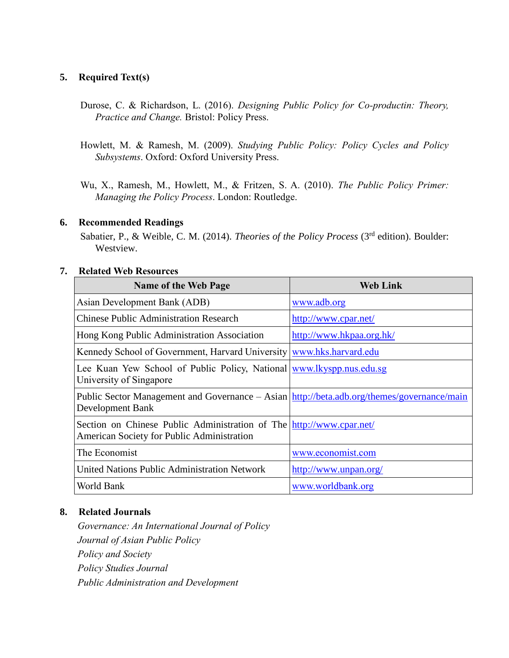#### **5. Required Text(s)**

- Durose, C. & Richardson, L. (2016). *Designing Public Policy for Co-productin: Theory, Practice and Change.* Bristol: Policy Press.
- Howlett, M. & Ramesh, M. (2009). *Studying Public Policy: Policy Cycles and Policy Subsystems*. Oxford: Oxford University Press.

Wu, X., Ramesh, M., Howlett, M., & Fritzen, S. A. (2010). *The Public Policy Primer: Managing the Policy Process*. London: Routledge.

# **6. Recommended Readings**

Sabatier, P., & Weible, C. M. (2014). *Theories of the Policy Process* (3<sup>rd</sup> edition). Boulder: Westview.

# **7. Related Web Resources**

| <b>Name of the Web Page</b>                                                                                        | <b>Web Link</b>          |
|--------------------------------------------------------------------------------------------------------------------|--------------------------|
| Asian Development Bank (ADB)                                                                                       | www.adb.org              |
| <b>Chinese Public Administration Research</b>                                                                      | http://www.cpar.net/     |
| Hong Kong Public Administration Association                                                                        | http://www.hkpaa.org.hk/ |
| Kennedy School of Government, Harvard University www.hks.harvard.edu                                               |                          |
| Lee Kuan Yew School of Public Policy, National www.lkyspp.nus.edu.sg<br>University of Singapore                    |                          |
| Public Sector Management and Governance – Asian http://beta.adb.org/themes/governance/main<br>Development Bank     |                          |
| Section on Chinese Public Administration of The http://www.cpar.net/<br>American Society for Public Administration |                          |
| The Economist                                                                                                      | www.economist.com        |
| <b>United Nations Public Administration Network</b>                                                                | http://www.unpan.org/    |
| World Bank                                                                                                         | www.worldbank.org        |

#### **8. Related Journals**

*Governance: An International Journal of Policy Journal of Asian Public Policy Policy and Society Policy Studies Journal Public Administration and Development*